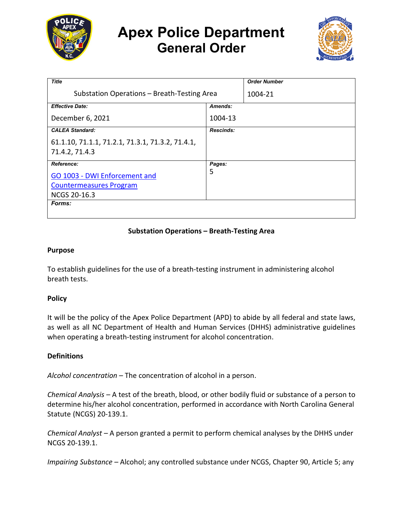

# **Apex Police Department General Order**



| <b>Title</b>                                     |                  | <b>Order Number</b> |
|--------------------------------------------------|------------------|---------------------|
| Substation Operations - Breath-Testing Area      |                  | 1004-21             |
| <b>Effective Date:</b>                           | Amends:          |                     |
| December 6, 2021                                 | 1004-13          |                     |
| <b>CALEA Standard:</b>                           | <b>Rescinds:</b> |                     |
| 61.1.10, 71.1.1, 71.2.1, 71.3.1, 71.3.2, 71.4.1, |                  |                     |
| 71.4.2, 71.4.3                                   |                  |                     |
| <b>Reference:</b>                                | Pages:           |                     |
| GO 1003 - DWI Enforcement and                    | 5                |                     |
| <b>Countermeasures Program</b>                   |                  |                     |
| <b>NCGS 20-16.3</b>                              |                  |                     |
| Forms:                                           |                  |                     |
|                                                  |                  |                     |

## **Substation Operations – Breath-Testing Area**

#### **Purpose**

To establish guidelines for the use of a breath-testing instrument in administering alcohol breath tests.

### **Policy**

It will be the policy of the Apex Police Department (APD) to abide by all federal and state laws, as well as all NC Department of Health and Human Services (DHHS) administrative guidelines when operating a breath-testing instrument for alcohol concentration.

### **Definitions**

*Alcohol concentration –* The concentration of alcohol in a person.

*Chemical Analysis –* A test of the breath, blood, or other bodily fluid or substance of a person to determine his/her alcohol concentration, performed in accordance with North Carolina General Statute (NCGS) 20-139.1.

*Chemical Analyst –* A person granted a permit to perform chemical analyses by the DHHS under NCGS 20-139.1.

*Impairing Substance –* Alcohol; any controlled substance under NCGS, Chapter 90, Article 5; any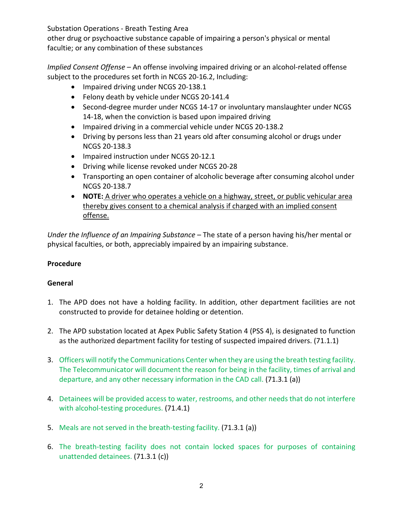other drug or psychoactive substance capable of impairing a person's physical or mental facultie; or any combination of these substances

*Implied Consent Offense –* An offense involving impaired driving or an alcohol-related offense subject to the procedures set forth in NCGS 20-16.2, Including:

- Impaired driving under NCGS 20-138.1
- Felony death by vehicle under NCGS 20-141.4
- Second-degree murder under NCGS 14-17 or involuntary manslaughter under NCGS 14-18, when the conviction is based upon impaired driving
- Impaired driving in a commercial vehicle under NCGS 20-138.2
- Driving by persons less than 21 years old after consuming alcohol or drugs under NCGS 20-138.3
- Impaired instruction under NCGS 20-12.1
- Driving while license revoked under NCGS 20-28
- Transporting an open container of alcoholic beverage after consuming alcohol under NCGS 20-138.7
- **NOTE:** A driver who operates a vehicle on a highway, street, or public vehicular area thereby gives consent to a chemical analysis if charged with an implied consent offense.

*Under the Influence of an Impairing Substance* – The state of a person having his/her mental or physical faculties, or both, appreciably impaired by an impairing substance.

# **Procedure**

# **General**

- 1. The APD does not have a holding facility. In addition, other department facilities are not constructed to provide for detainee holding or detention.
- 2. The APD substation located at Apex Public Safety Station 4 (PSS 4), is designated to function as the authorized department facility for testing of suspected impaired drivers. (71.1.1)
- 3. Officers will notify the Communications Center when they are using the breath testing facility. The Telecommunicator will document the reason for being in the facility, times of arrival and departure, and any other necessary information in the CAD call. (71.3.1 (a))
- 4. Detainees will be provided access to water, restrooms, and other needs that do not interfere with alcohol-testing procedures. (71.4.1)
- 5. Meals are not served in the breath-testing facility. (71.3.1 (a))
- 6. The breath-testing facility does not contain locked spaces for purposes of containing unattended detainees. (71.3.1 (c))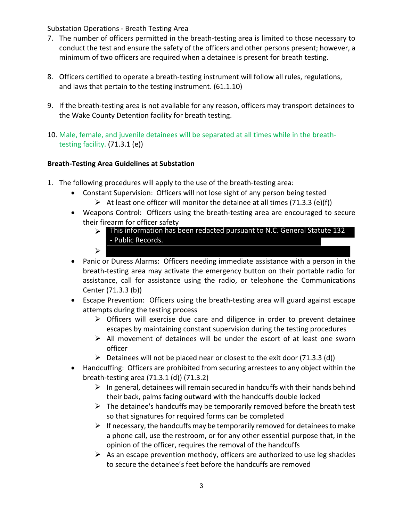- 7. The number of officers permitted in the breath-testing area is limited to those necessary to conduct the test and ensure the safety of the officers and other persons present; however, a minimum of two officers are required when a detainee is present for breath testing.
- 8. Officers certified to operate a breath-testing instrument will follow all rules, regulations, and laws that pertain to the testing instrument. (61.1.10)
- 9. If the breath-testing area is not available for any reason, officers may transport detainees to the Wake County Detention facility for breath testing.
- 10. Male, female, and juvenile detainees will be separated at all times while in the breathtesting facility. (71.3.1 (e))

# **Breath-Testing Area Guidelines at Substation**

- 1. The following procedures will apply to the use of the breath-testing area:
	- Constant Supervision: Officers will not lose sight of any person being tested
		- At least one officer will monitor the detainee at all times (71.3.3 (e)(f))
	- Weapons Control: Officers using the breath-testing area are encouraged to secure their firearm for officer safety
		- This information has been redacted pursuant to N.C. General Statute 132 - Public Records.
			-

 $\blacktriangleright$ 

- Panic or Duress Alarms: Officers needing immediate assistance with a person in the breath-testing area may activate the emergency button on their portable radio for assistance, call for assistance using the radio, or telephone the Communications Center (71.3.3 (b))
- Escape Prevention: Officers using the breath-testing area will guard against escape attempts during the testing process
	- $\triangleright$  Officers will exercise due care and diligence in order to prevent detainee escapes by maintaining constant supervision during the testing procedures
	- $\triangleright$  All movement of detainees will be under the escort of at least one sworn officer
	- $\triangleright$  Detainees will not be placed near or closest to the exit door (71.3.3 (d))
- Handcuffing: Officers are prohibited from securing arrestees to any object within the breath-testing area (71.3.1 (d)) (71.3.2)
	- $\triangleright$  In general, detainees will remain secured in handcuffs with their hands behind their back, palms facing outward with the handcuffs double locked
	- $\triangleright$  The detainee's handcuffs may be temporarily removed before the breath test so that signatures for required forms can be completed
	- $\triangleright$  If necessary, the handcuffs may be temporarily removed for detainees to make a phone call, use the restroom, or for any other essential purpose that, in the opinion of the officer, requires the removal of the handcuffs
	- $\triangleright$  As an escape prevention methody, officers are authorized to use leg shackles to secure the detainee's feet before the handcuffs are removed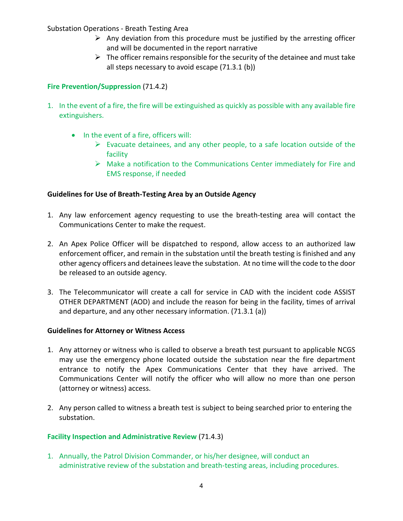- $\triangleright$  Any deviation from this procedure must be justified by the arresting officer and will be documented in the report narrative
- $\triangleright$  The officer remains responsible for the security of the detainee and must take all steps necessary to avoid escape (71.3.1 (b))

# **Fire Prevention/Suppression** (71.4.2)

- 1. In the event of a fire, the fire will be extinguished as quickly as possible with any available fire extinguishers.
	- In the event of a fire, officers will:
		- $\triangleright$  Evacuate detainees, and any other people, to a safe location outside of the facility
		- $\triangleright$  Make a notification to the Communications Center immediately for Fire and EMS response, if needed

## **Guidelines for Use of Breath-Testing Area by an Outside Agency**

- 1. Any law enforcement agency requesting to use the breath-testing area will contact the Communications Center to make the request.
- 2. An Apex Police Officer will be dispatched to respond, allow access to an authorized law enforcement officer, and remain in the substation until the breath testing is finished and any other agency officers and detainees leave the substation. At no time will the code to the door be released to an outside agency.
- 3. The Telecommunicator will create a call for service in CAD with the incident code ASSIST OTHER DEPARTMENT (AOD) and include the reason for being in the facility, times of arrival and departure, and any other necessary information. (71.3.1 (a))

## **Guidelines for Attorney or Witness Access**

- 1. Any attorney or witness who is called to observe a breath test pursuant to applicable NCGS may use the emergency phone located outside the substation near the fire department entrance to notify the Apex Communications Center that they have arrived. The Communications Center will notify the officer who will allow no more than one person (attorney or witness) access.
- 2. Any person called to witness a breath test is subject to being searched prior to entering the substation.

## **Facility Inspection and Administrative Review** (71.4.3)

1. Annually, the Patrol Division Commander, or his/her designee, will conduct an administrative review of the substation and breath-testing areas, including procedures.